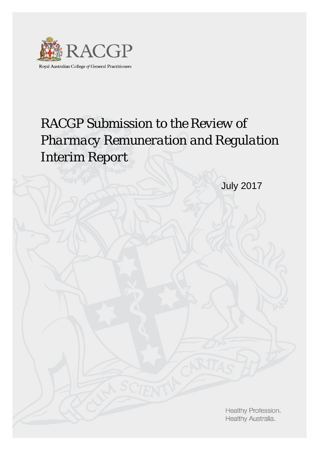

Royal Australian College of General Practitioners

# *RACGP Submission to the Review of Pharmacy Remuneration and Regulation Interim Report*

July 2017

Healthy Profession. Healthy Australia.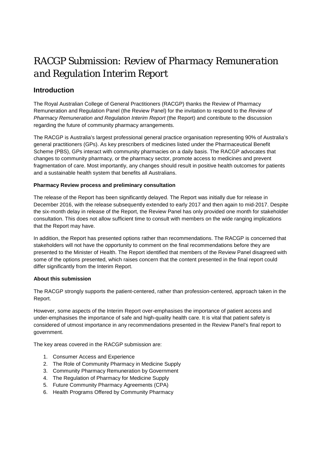## *RACGP Submission: Review of Pharmacy Remuneration and Regulation Interim Report*

## **Introduction**

The Royal Australian College of General Practitioners (RACGP) thanks the Review of Pharmacy Remuneration and Regulation Panel (the Review Panel) for the invitation to respond to the *Review of Pharmacy Remuneration and Regulation Interim Report* (the Report) and contribute to the discussion regarding the future of community pharmacy arrangements.

The RACGP is Australia's largest professional general practice organisation representing 90% of Australia's general practitioners (GPs). As key prescribers of medicines listed under the Pharmaceutical Benefit Scheme (PBS), GPs interact with community pharmacies on a daily basis. The RACGP advocates that changes to community pharmacy, or the pharmacy sector, promote access to medicines and prevent fragmentation of care. Most importantly, any changes should result in positive health outcomes for patients and a sustainable health system that benefits all Australians.

#### **Pharmacy Review process and preliminary consultation**

The release of the Report has been significantly delayed. The Report was initially due for release in December 2016, with the release subsequently extended to early 2017 and then again to mid-2017. Despite the six-month delay in release of the Report, the Review Panel has only provided one month for stakeholder consultation. This does not allow sufficient time to consult with members on the wide ranging implications that the Report may have.

In addition, the Report has presented options rather than recommendations. The RACGP is concerned that stakeholders will not have the opportunity to comment on the final recommendations before they are presented to the Minister of Health. The Report identified that members of the Review Panel disagreed with some of the options presented, which raises concern that the content presented in the final report could differ significantly from the Interim Report.

#### **About this submission**

The RACGP strongly supports the patient-centered, rather than profession-centered, approach taken in the Report.

However, some aspects of the Interim Report over-emphasises the importance of patient access and under-emphasises the importance of safe and high-quality health care. It is vital that patient safety is considered of utmost importance in any recommendations presented in the Review Panel's final report to government.

The key areas covered in the RACGP submission are:

- 1. Consumer Access and Experience
- 2. The Role of Community Pharmacy in Medicine Supply
- 3. Community Pharmacy Remuneration by Government
- 4. The Regulation of Pharmacy for Medicine Supply
- 5. Future Community Pharmacy Agreements (CPA)
- 6. Health Programs Offered by Community Pharmacy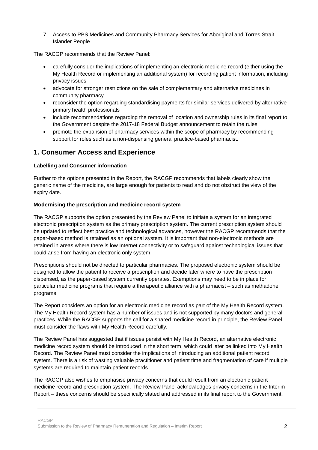7. Access to PBS Medicines and Community Pharmacy Services for Aboriginal and Torres Strait Islander People

The RACGP recommends that the Review Panel:

- carefully consider the implications of implementing an electronic medicine record (either using the My Health Record or implementing an additional system) for recording patient information, including privacy issues
- advocate for stronger restrictions on the sale of complementary and alternative medicines in community pharmacy
- reconsider the option regarding standardising payments for similar services delivered by alternative primary health professionals
- include recommendations regarding the removal of location and ownership rules in its final report to the Government despite the 2017-18 Federal Budget announcement to retain the rules
- promote the expansion of pharmacy services within the scope of pharmacy by recommending support for roles such as a non-dispensing general practice-based pharmacist.

## **1. Consumer Access and Experience**

#### **Labelling and Consumer information**

Further to the options presented in the Report, the RACGP recommends that labels clearly show the generic name of the medicine, are large enough for patients to read and do not obstruct the view of the expiry date.

#### **Modernising the prescription and medicine record system**

The RACGP supports the option presented by the Review Panel to initiate a system for an integrated electronic prescription system as the primary prescription system. The current prescription system should be updated to reflect best practice and technological advances, however the RACGP recommends that the paper-based method is retained as an optional system. It is important that non-electronic methods are retained in areas where there is low Internet connectivity or to safeguard against technological issues that could arise from having an electronic only system.

Prescriptions should not be directed to particular pharmacies. The proposed electronic system should be designed to allow the patient to receive a prescription and decide later where to have the prescription dispensed, as the paper-based system currently operates. Exemptions may need to be in place for particular medicine programs that require a therapeutic alliance with a pharmacist – such as methadone programs.

The Report considers an option for an electronic medicine record as part of the My Health Record system. The My Health Record system has a number of issues and is not supported by many doctors and general practices. While the RACGP supports the call for a shared medicine record in principle, the Review Panel must consider the flaws with My Health Record carefully.

The Review Panel has suggested that if issues persist with My Health Record, an alternative electronic medicine record system should be introduced in the short term, which could later be linked into My Health Record. The Review Panel must consider the implications of introducing an additional patient record system. There is a risk of wasting valuable practitioner and patient time and fragmentation of care if multiple systems are required to maintain patient records.

The RACGP also wishes to emphasise privacy concerns that could result from an electronic patient medicine record and prescription system. The Review Panel acknowledges privacy concerns in the Interim Report – these concerns should be specifically stated and addressed in its final report to the Government.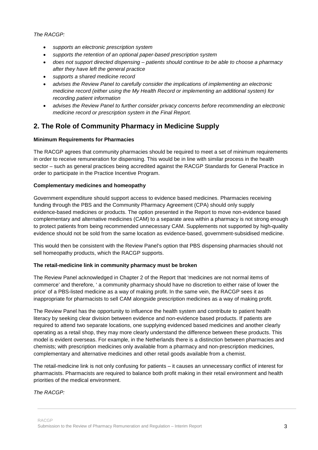*The RACGP:*

- *supports an electronic prescription system*
- *supports the retention of an optional paper-based prescription system*
- *does not support directed dispensing – patients should continue to be able to choose a pharmacy after they have left the general practice*
- *supports a shared medicine record*
- *advises the Review Panel to carefully consider the implications of implementing an electronic medicine record (either using the My Health Record or implementing an additional system) for recording patient information*
- *advises the Review Panel to further consider privacy concerns before recommending an electronic medicine record or prescription system in the Final Report.*

## **2. The Role of Community Pharmacy in Medicine Supply**

#### **Minimum Requirements for Pharmacies**

The RACGP agrees that community pharmacies should be required to meet a set of minimum requirements in order to receive remuneration for dispensing. This would be in line with similar process in the health sector – such as general practices being accredited against the RACGP Standards for General Practice in order to participate in the Practice Incentive Program.

#### **Complementary medicines and homeopathy**

Government expenditure should support access to evidence based medicines. Pharmacies receiving funding through the PBS and the Community Pharmacy Agreement (CPA) should only supply evidence-based medicines or products. The option presented in the Report to move non-evidence based complementary and alternative medicines (CAM) to a separate area within a pharmacy is not strong enough to protect patients from being recommended unnecessary CAM. Supplements not supported by high-quality evidence should not be sold from the same location as evidence-based, government-subsidised medicine.

This would then be consistent with the Review Panel's option that PBS dispensing pharmacies should not sell homeopathy products, which the RACGP supports.

#### **The retail-medicine link in community pharmacy must be broken**

The Review Panel acknowledged in Chapter 2 of the Report that 'medicines are not normal items of commerce' and therefore, ' a community pharmacy should have no discretion to either raise of lower the price' of a PBS-listed medicine as a way of making profit. In the same vein, the RACGP sees it as inappropriate for pharmacists to sell CAM alongside prescription medicines as a way of making profit.

The Review Panel has the opportunity to influence the health system and contribute to patient health literacy by seeking clear division between evidence and non-evidence based products. If patients are required to attend two separate locations, one supplying evidenced based medicines and another clearly operating as a retail shop, they may more clearly understand the difference between these products. This model is evident overseas. For example, in the Netherlands there is a distinction between pharmacies and chemists; with prescription medicines only available from a pharmacy and non-prescription medicines, complementary and alternative medicines and other retail goods available from a chemist.

The retail-medicine link is not only confusing for patients – it causes an unnecessary conflict of interest for pharmacists. Pharmacists are required to balance both profit making in their retail environment and health priorities of the medical environment.

#### *The RACGP:*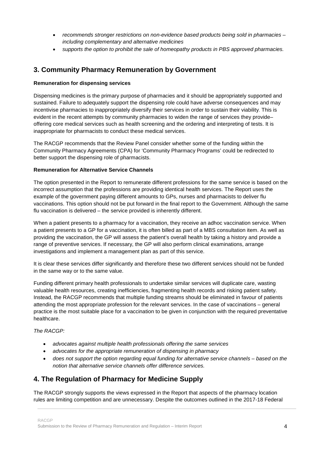- *recommends stronger restrictions on non-evidence based products being sold in pharmacies – including complementary and alternative medicines*
- *supports the option to prohibit the sale of homeopathy products in PBS approved pharmacies.*

### **3. Community Pharmacy Remuneration by Government**

#### **Remuneration for dispensing services**

Dispensing medicines is the primary purpose of pharmacies and it should be appropriately supported and sustained. Failure to adequately support the dispensing role could have adverse consequences and may incentivise pharmacies to inappropriately diversify their services in order to sustain their viability. This is evident in the recent attempts by community pharmacies to widen the range of services they provide– offering core medical services such as health screening and the ordering and interpreting of tests. It is inappropriate for pharmacists to conduct these medical services.

The RACGP recommends that the Review Panel consider whether some of the funding within the Community Pharmacy Agreements (CPA) for 'Community Pharmacy Programs' could be redirected to better support the dispensing role of pharmacists.

#### **Remuneration for Alternative Service Channels**

The option presented in the Report to remunerate different professions for the same service is based on the incorrect assumption that the professions are providing identical health services. The Report uses the example of the government paying different amounts to GPs, nurses and pharmacists to deliver flu vaccinations. This option should not be put forward in the final report to the Government. Although the same flu vaccination is delivered – the service provided is inherently different.

When a patient presents to a pharmacy for a vaccination, they receive an adhoc vaccination service. When a patient presents to a GP for a vaccination, it is often billed as part of a MBS consultation item. As well as providing the vaccination, the GP will assess the patient's overall health by taking a history and provide a range of preventive services. If necessary, the GP will also perform clinical examinations, arrange investigations and implement a management plan as part of this service.

It is clear these services differ significantly and therefore these two different services should not be funded in the same way or to the same value.

Funding different primary health professionals to undertake similar services will duplicate care, wasting valuable health resources, creating inefficiencies, fragmenting health records and risking patient safety. Instead, the RACGP recommends that multiple funding streams should be eliminated in favour of patients attending the most appropriate profession for the relevant services. In the case of vaccinations – general practice is the most suitable place for a vaccination to be given in conjunction with the required preventative healthcare.

#### *The RACGP:*

- *advocates against multiple health professionals offering the same services*
- *advocates for the appropriate remuneration of dispensing in pharmacy*
- *does not support the option regarding equal funding for alternative service channels – based on the notion that alternative service channels offer difference services.*

## **4. The Regulation of Pharmacy for Medicine Supply**

The RACGP strongly supports the views expressed in the Report that aspects of the pharmacy location rules are limiting competition and are unnecessary. Despite the outcomes outlined in the 2017-18 Federal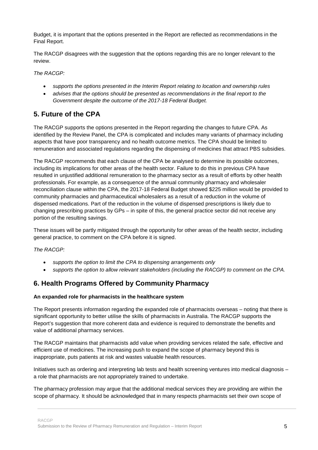Budget, it is important that the options presented in the Report are reflected as recommendations in the Final Report.

The RACGP disagrees with the suggestion that the options regarding this are no longer relevant to the review.

*The RACGP:*

- *supports the options presented in the Interim Report relating to location and ownership rules*
- *advises that the options should be presented as recommendations in the final report to the Government despite the outcome of the 2017-18 Federal Budget.*

## **5. Future of the CPA**

The RACGP supports the options presented in the Report regarding the changes to future CPA. As identified by the Review Panel, the CPA is complicated and includes many variants of pharmacy including aspects that have poor transparency and no health outcome metrics. The CPA should be limited to remuneration and associated regulations regarding the dispensing of medicines that attract PBS subsidies.

The RACGP recommends that each clause of the CPA be analysed to determine its possible outcomes, including its implications for other areas of the health sector. Failure to do this in previous CPA have resulted in unjustified additional remuneration to the pharmacy sector as a result of efforts by other health professionals. For example, as a consequence of the annual community pharmacy and wholesaler reconciliation clause within the CPA, the 2017-18 Federal Budget showed \$225 million would be provided to community pharmacies and pharmaceutical wholesalers as a result of a reduction in the volume of dispensed medications. Part of the reduction in the volume of dispensed prescriptions is likely due to changing prescribing practices by GPs – in spite of this, the general practice sector did not receive any portion of the resulting savings.

These issues will be partly mitigated through the opportunity for other areas of the health sector, including general practice, to comment on the CPA before it is signed.

#### *The RACGP:*

- *supports the option to limit the CPA to dispensing arrangements only*
- *supports the option to allow relevant stakeholders (including the RACGP) to comment on the CPA.*

## **6. Health Programs Offered by Community Pharmacy**

#### **An expanded role for pharmacists in the healthcare system**

The Report presents information regarding the expanded role of pharmacists overseas – noting that there is significant opportunity to better utilise the skills of pharmacists in Australia. The RACGP supports the Report's suggestion that more coherent data and evidence is required to demonstrate the benefits and value of additional pharmacy services.

The RACGP maintains that pharmacists add value when providing services related the safe, effective and efficient use of medicines. The increasing push to expand the scope of pharmacy beyond this is inappropriate, puts patients at risk and wastes valuable health resources.

Initiatives such as ordering and interpreting lab tests and health screening ventures into medical diagnosis – a role that pharmacists are not appropriately trained to undertake.

The pharmacy profession may argue that the additional medical services they are providing are within the scope of pharmacy. It should be acknowledged that in many respects pharmacists set their own scope of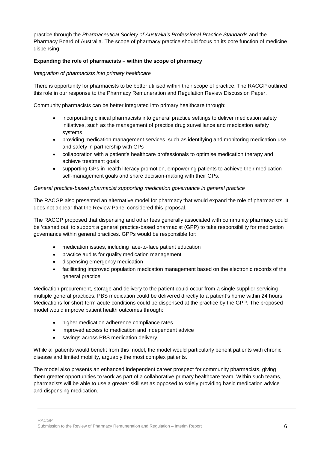practice through the *Pharmaceutical Society of Australia's Professional Practice Standards* and the Pharmacy Board of Australia. The scope of pharmacy practice should focus on its core function of medicine dispensing.

#### **Expanding the role of pharmacists – within the scope of pharmacy**

#### *Integration of pharmacists into primary healthcare*

There is opportunity for pharmacists to be better utilised within their scope of practice. The RACGP outlined this role in our response to the Pharmacy Remuneration and Regulation Review Discussion Paper.

Community pharmacists can be better integrated into primary healthcare through:

- incorporating clinical pharmacists into general practice settings to deliver medication safety initiatives, such as the management of practice drug surveillance and medication safety systems
- providing medication management services, such as identifying and monitoring medication use and safety in partnership with GPs
- collaboration with a patient's healthcare professionals to optimise medication therapy and achieve treatment goals
- supporting GPs in health literacy promotion, empowering patients to achieve their medication self-management goals and share decision-making with their GPs.

#### *General practice-based pharmacist supporting medication governance in general practice*

The RACGP also presented an alternative model for pharmacy that would expand the role of pharmacists. It does not appear that the Review Panel considered this proposal.

The RACGP proposed that dispensing and other fees generally associated with community pharmacy could be 'cashed out' to support a general practice-based pharmacist (GPP) to take responsibility for medication governance within general practices. GPPs would be responsible for:

- medication issues, including face-to-face patient education
- practice audits for quality medication management
- dispensing emergency medication
- facilitating improved population medication management based on the electronic records of the general practice.

Medication procurement, storage and delivery to the patient could occur from a single supplier servicing multiple general practices. PBS medication could be delivered directly to a patient's home within 24 hours. Medications for short-term acute conditions could be dispensed at the practice by the GPP. The proposed model would improve patient health outcomes through:

- higher medication adherence compliance rates
- improved access to medication and independent advice
- savings across PBS medication delivery.

While all patients would benefit from this model, the model would particularly benefit patients with chronic disease and limited mobility, arguably the most complex patients.

The model also presents an enhanced independent career prospect for community pharmacists, giving them greater opportunities to work as part of a collaborative primary healthcare team. Within such teams, pharmacists will be able to use a greater skill set as opposed to solely providing basic medication advice and dispensing medication.